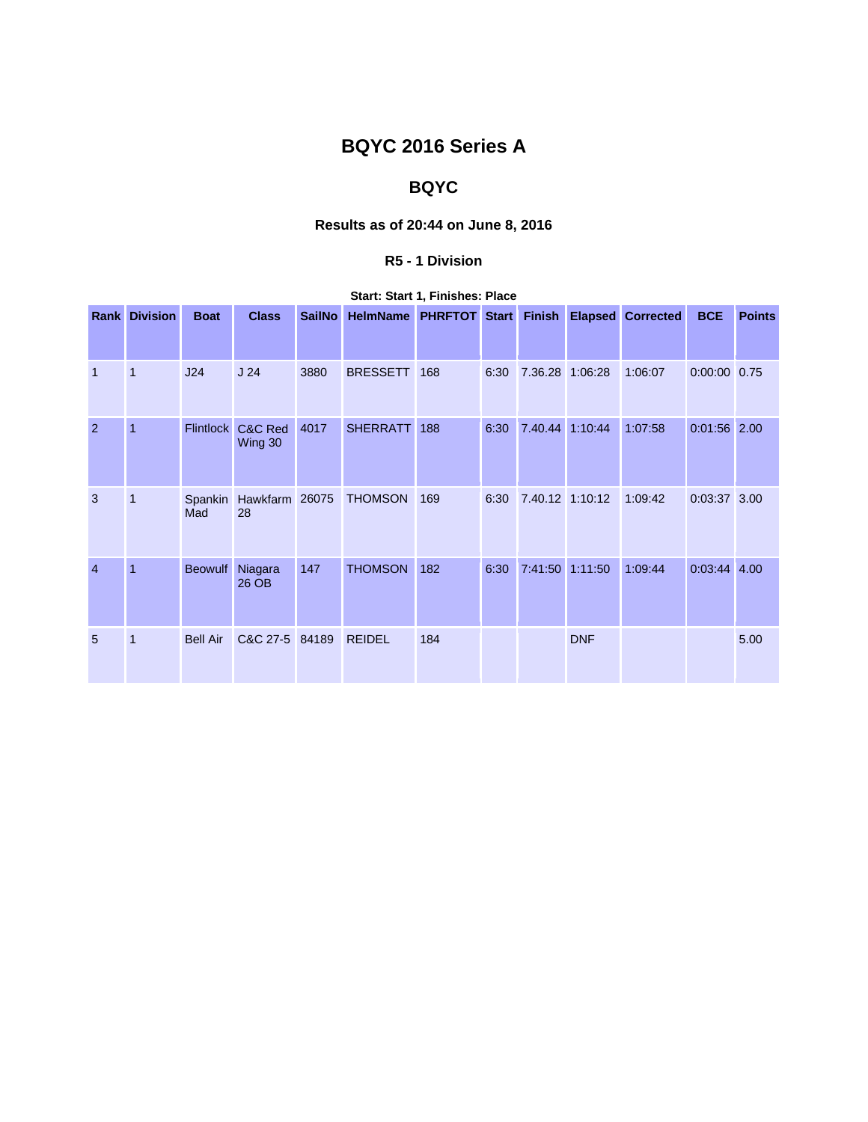# **BQYC 2016 Series A**

## **BQYC**

## **Results as of 20:44 on June 8, 2016**

### **R5 - 1 Division**

### **Start: Start 1, Finishes: Place**

|                | <b>Rank Division</b> | <b>Boat</b>      | <b>Class</b>         | <b>SailNo</b> | HelmName PHRFTOT Start |     |      | Finish          |            | <b>Elapsed Corrected</b> | <b>BCE</b>     | <b>Points</b> |
|----------------|----------------------|------------------|----------------------|---------------|------------------------|-----|------|-----------------|------------|--------------------------|----------------|---------------|
| $\mathbf{1}$   | $\overline{1}$       | J24              | J <sub>24</sub>      | 3880          | <b>BRESSETT</b>        | 168 | 6:30 | 7.36.28 1:06:28 |            | 1:06:07                  | $0:00:00$ 0.75 |               |
| $\overline{2}$ | $\overline{1}$       | <b>Flintlock</b> | C&C Red<br>Wing 30   | 4017          | <b>SHERRATT</b>        | 188 | 6:30 | 7.40.44         | 1:10:44    | 1:07:58                  | $0:01:56$ 2.00 |               |
| 3              | 1                    | Spankin<br>Mad   | Hawkfarm 26075<br>28 |               | <b>THOMSON</b>         | 169 | 6:30 | 7.40.12 1:10:12 |            | 1:09:42                  | 0:03:37 3.00   |               |
| $\overline{4}$ | $\overline{1}$       | <b>Beowulf</b>   | Niagara<br>26 OB     | 147           | <b>THOMSON</b>         | 182 | 6:30 | 7:41:50         | 1:11:50    | 1:09:44                  | $0:03:44$ 4.00 |               |
| 5              | $\mathbf{1}$         | <b>Bell Air</b>  | C&C 27-5             | 84189         | <b>REIDEL</b>          | 184 |      |                 | <b>DNF</b> |                          |                | 5.00          |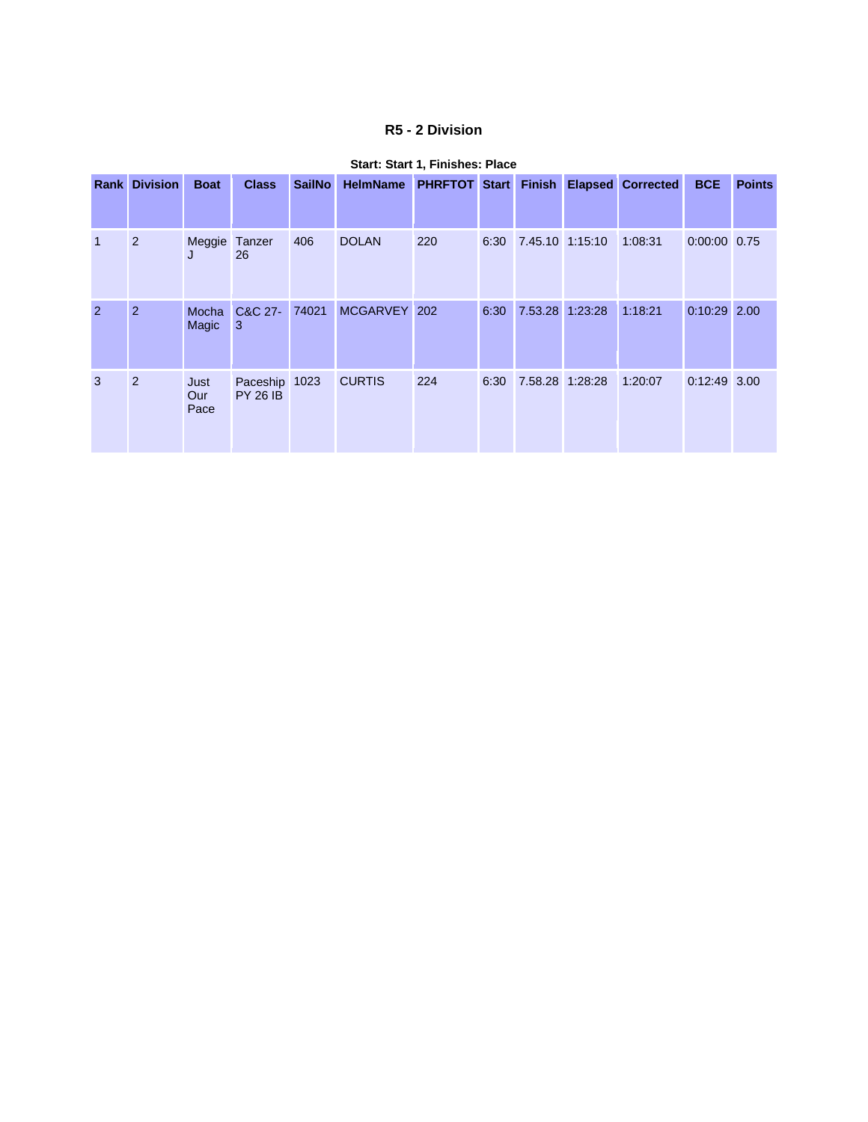## **R5 - 2 Division**

|              | <b>Rank Division</b> | <b>Boat</b>         | <b>Class</b>                     | <b>SailNo</b> | <b>HelmName</b> | <b>PHRFTOT Start</b> |      |                      | <b>Finish Elapsed Corrected</b> | <b>BCE</b>     | <b>Points</b> |
|--------------|----------------------|---------------------|----------------------------------|---------------|-----------------|----------------------|------|----------------------|---------------------------------|----------------|---------------|
| $\mathbf{1}$ | 2                    | Meggie Tanzer<br>J  | 26                               | 406           | <b>DOLAN</b>    | 220                  |      | 6:30 7.45.10 1:15:10 | 1:08:31                         | 0:00:00 0.75   |               |
| 2            | 2                    | Mocha<br>Magic      | C&C 27-<br>3                     | 74021         | MCGARVEY 202    |                      | 6:30 | 7.53.28 1:23:28      | 1:18:21                         | $0:10:29$ 2.00 |               |
| 3            | 2                    | Just<br>Our<br>Pace | Paceship 1023<br><b>PY 26 IB</b> |               | <b>CURTIS</b>   | 224                  | 6:30 | 7.58.28 1:28:28      | 1:20:07                         | $0:12:49$ 3.00 |               |

#### **Start: Start 1, Finishes: Place**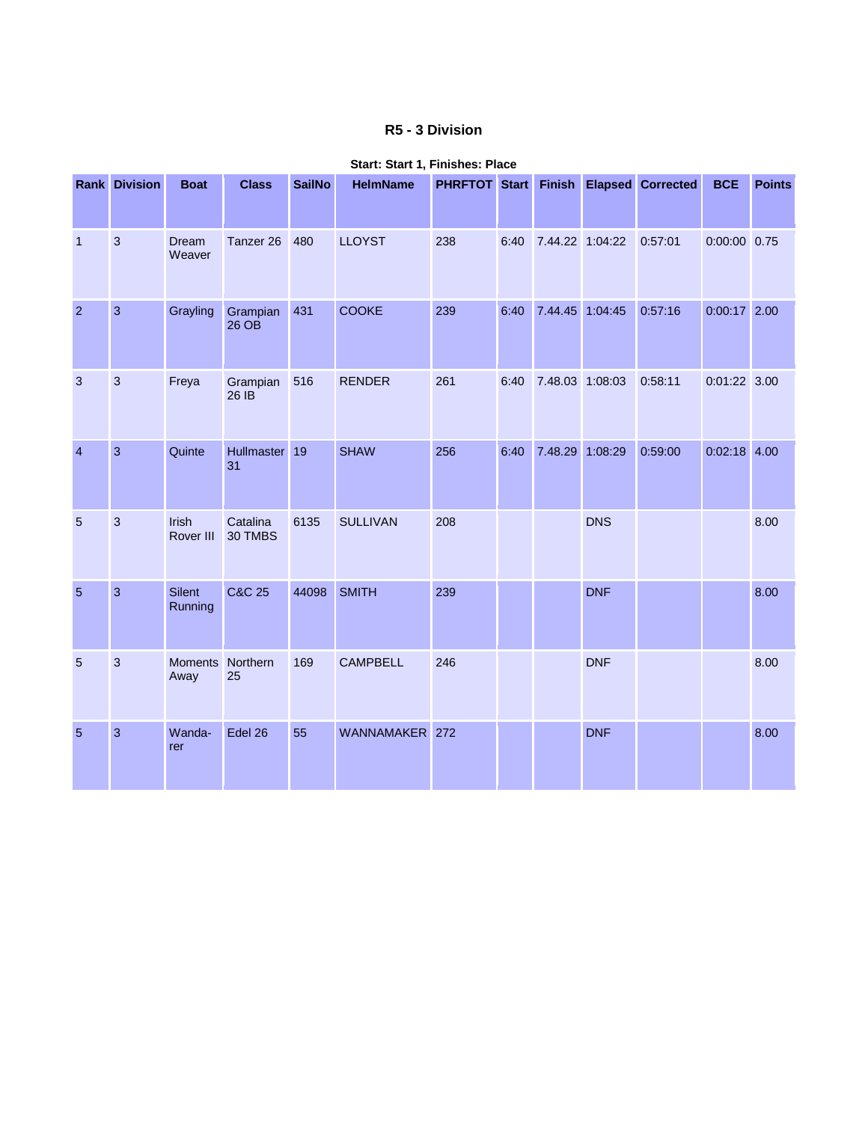## **R5 - 3 Division**

|                 | <b>Rank Division</b> | <b>Boat</b>              | <b>Class</b>        | <b>SailNo</b> | <b>HelmName</b> |     |      |                 |                 | PHRFTOT Start Finish Elapsed Corrected | <b>BCE</b>     | <b>Points</b> |
|-----------------|----------------------|--------------------------|---------------------|---------------|-----------------|-----|------|-----------------|-----------------|----------------------------------------|----------------|---------------|
| $\mathbf{1}$    | $\mathbf{3}$         | Dream<br>Weaver          | Tanzer 26           | 480           | <b>LLOYST</b>   | 238 | 6:40 |                 | 7.44.22 1:04:22 | 0:57:01                                | $0:00:00$ 0.75 |               |
| $\overline{2}$  | 3                    | Grayling                 | Grampian<br>$26$ OB | 431           | <b>COOKE</b>    | 239 | 6:40 |                 | 7.44.45 1:04:45 | 0:57:16                                | $0:00:17$ 2.00 |               |
| 3               | 3                    | Freya                    | Grampian<br>26 IB   | 516           | <b>RENDER</b>   | 261 | 6:40 | 7.48.03 1:08:03 |                 | 0:58:11                                | $0:01:22$ 3.00 |               |
| $\overline{4}$  | 3                    | Quinte                   | Hullmaster 19<br>31 |               | <b>SHAW</b>     | 256 | 6:40 | 7.48.29 1:08:29 |                 | 0:59:00                                | $0:02:18$ 4.00 |               |
| $\overline{5}$  | $\mathbf{3}$         | Irish<br>Rover III       | Catalina<br>30 TMBS | 6135          | <b>SULLIVAN</b> | 208 |      |                 | <b>DNS</b>      |                                        |                | 8.00          |
| $\overline{5}$  | 3                    | Silent<br>Running        | <b>C&amp;C 25</b>   | 44098         | <b>SMITH</b>    | 239 |      |                 | <b>DNF</b>      |                                        |                | 8.00          |
| 5               | 3                    | Moments Northern<br>Away | 25                  | 169           | <b>CAMPBELL</b> | 246 |      |                 | <b>DNF</b>      |                                        |                | 8.00          |
| $5\phantom{.0}$ | 3                    | Wanda-<br>rer            | Edel 26             | 55            | WANNAMAKER 272  |     |      |                 | <b>DNF</b>      |                                        |                | 8.00          |

#### **Start: Start 1, Finishes: Place**